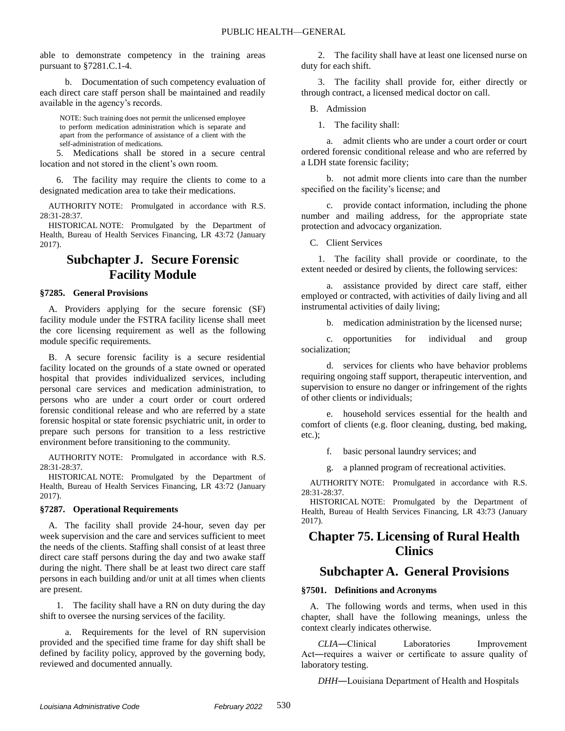able to demonstrate competency in the training areas pursuant to §7281.C.1-4.

b. Documentation of such competency evaluation of each direct care staff person shall be maintained and readily available in the agency's records.

NOTE: Such training does not permit the unlicensed employee to perform medication administration which is separate and apart from the performance of assistance of a client with the self-administration of medications.

5. Medications shall be stored in a secure central location and not stored in the client's own room.

6. The facility may require the clients to come to a designated medication area to take their medications.

AUTHORITY NOTE: Promulgated in accordance with R.S. 28:31-28:37.

HISTORICAL NOTE: Promulgated by the Department of Health, Bureau of Health Services Financing, LR 43:72 (January 2017).

# **Subchapter J. Secure Forensic Facility Module**

#### **§7285. General Provisions**

A. Providers applying for the secure forensic (SF) facility module under the FSTRA facility license shall meet the core licensing requirement as well as the following module specific requirements.

B. A secure forensic facility is a secure residential facility located on the grounds of a state owned or operated hospital that provides individualized services, including personal care services and medication administration, to persons who are under a court order or court ordered forensic conditional release and who are referred by a state forensic hospital or state forensic psychiatric unit, in order to prepare such persons for transition to a less restrictive environment before transitioning to the community.

AUTHORITY NOTE: Promulgated in accordance with R.S. 28:31-28:37.

HISTORICAL NOTE: Promulgated by the Department of Health, Bureau of Health Services Financing, LR 43:72 (January 2017).

#### **§7287. Operational Requirements**

A. The facility shall provide 24-hour, seven day per week supervision and the care and services sufficient to meet the needs of the clients. Staffing shall consist of at least three direct care staff persons during the day and two awake staff during the night. There shall be at least two direct care staff persons in each building and/or unit at all times when clients are present.

1. The facility shall have a RN on duty during the day shift to oversee the nursing services of the facility.

a. Requirements for the level of RN supervision provided and the specified time frame for day shift shall be defined by facility policy, approved by the governing body, reviewed and documented annually.

2. The facility shall have at least one licensed nurse on duty for each shift.

3. The facility shall provide for, either directly or through contract, a licensed medical doctor on call.

B. Admission

1. The facility shall:

a. admit clients who are under a court order or court ordered forensic conditional release and who are referred by a LDH state forensic facility;

b. not admit more clients into care than the number specified on the facility's license; and

c. provide contact information, including the phone number and mailing address, for the appropriate state protection and advocacy organization.

C. Client Services

1. The facility shall provide or coordinate, to the extent needed or desired by clients, the following services:

a. assistance provided by direct care staff, either employed or contracted, with activities of daily living and all instrumental activities of daily living;

b. medication administration by the licensed nurse;

c. opportunities for individual and group socialization;

d. services for clients who have behavior problems requiring ongoing staff support, therapeutic intervention, and supervision to ensure no danger or infringement of the rights of other clients or individuals;

e. household services essential for the health and comfort of clients (e.g. floor cleaning, dusting, bed making, etc.);

f. basic personal laundry services; and

g. a planned program of recreational activities.

AUTHORITY NOTE: Promulgated in accordance with R.S. 28:31-28:37.

HISTORICAL NOTE: Promulgated by the Department of Health, Bureau of Health Services Financing, LR 43:73 (January 2017).

# **Chapter 75. Licensing of Rural Health Clinics**

# **Subchapter A. General Provisions**

## **§7501. Definitions and Acronyms**

A. The following words and terms, when used in this chapter, shall have the following meanings, unless the context clearly indicates otherwise.

*CLIA*―Clinical Laboratories Improvement Act―requires a waiver or certificate to assure quality of laboratory testing.

*DHH*―Louisiana Department of Health and Hospitals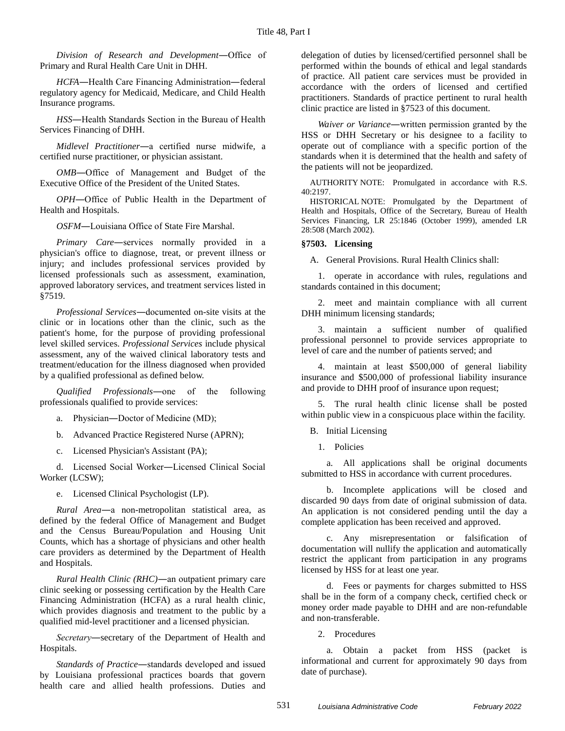*Division of Research and Development*―Office of Primary and Rural Health Care Unit in DHH.

*HCFA*―Health Care Financing Administration―federal regulatory agency for Medicaid, Medicare, and Child Health Insurance programs.

*HSS*―Health Standards Section in the Bureau of Health Services Financing of DHH.

*Midlevel Practitioner*―a certified nurse midwife, a certified nurse practitioner, or physician assistant.

*OMB*―Office of Management and Budget of the Executive Office of the President of the United States.

*OPH*―Office of Public Health in the Department of Health and Hospitals.

*OSFM*―Louisiana Office of State Fire Marshal.

*Primary Care*―services normally provided in a physician's office to diagnose, treat, or prevent illness or injury; and includes professional services provided by licensed professionals such as assessment, examination, approved laboratory services, and treatment services listed in §7519.

*Professional Services*―documented on-site visits at the clinic or in locations other than the clinic, such as the patient's home, for the purpose of providing professional level skilled services. *Professional Services* include physical assessment, any of the waived clinical laboratory tests and treatment/education for the illness diagnosed when provided by a qualified professional as defined below.

*Qualified Professionals*―one of the following professionals qualified to provide services:

a. Physician―Doctor of Medicine (MD);

b. Advanced Practice Registered Nurse (APRN);

c. Licensed Physician's Assistant (PA);

d. Licensed Social Worker―Licensed Clinical Social Worker (LCSW);

e. Licensed Clinical Psychologist (LP).

*Rural Area*―a non-metropolitan statistical area, as defined by the federal Office of Management and Budget and the Census Bureau/Population and Housing Unit Counts, which has a shortage of physicians and other health care providers as determined by the Department of Health and Hospitals.

*Rural Health Clinic (RHC)*―an outpatient primary care clinic seeking or possessing certification by the Health Care Financing Administration (HCFA) as a rural health clinic, which provides diagnosis and treatment to the public by a qualified mid-level practitioner and a licensed physician.

*Secretary―*secretary of the Department of Health and Hospitals.

*Standards of Practice*―standards developed and issued by Louisiana professional practices boards that govern health care and allied health professions. Duties and

delegation of duties by licensed/certified personnel shall be performed within the bounds of ethical and legal standards of practice. All patient care services must be provided in accordance with the orders of licensed and certified practitioners. Standards of practice pertinent to rural health clinic practice are listed in §7523 of this document.

*Waiver or Variance*―written permission granted by the HSS or DHH Secretary or his designee to a facility to operate out of compliance with a specific portion of the standards when it is determined that the health and safety of the patients will not be jeopardized.

AUTHORITY NOTE: Promulgated in accordance with R.S. 40:2197.

HISTORICAL NOTE: Promulgated by the Department of Health and Hospitals, Office of the Secretary, Bureau of Health Services Financing, LR 25:1846 (October 1999), amended LR 28:508 (March 2002).

### **§7503. Licensing**

A. General Provisions. Rural Health Clinics shall:

1. operate in accordance with rules, regulations and standards contained in this document;

2. meet and maintain compliance with all current DHH minimum licensing standards;

3. maintain a sufficient number of qualified professional personnel to provide services appropriate to level of care and the number of patients served; and

4. maintain at least \$500,000 of general liability insurance and \$500,000 of professional liability insurance and provide to DHH proof of insurance upon request;

5. The rural health clinic license shall be posted within public view in a conspicuous place within the facility.

B. Initial Licensing

1. Policies

a. All applications shall be original documents submitted to HSS in accordance with current procedures.

b. Incomplete applications will be closed and discarded 90 days from date of original submission of data. An application is not considered pending until the day a complete application has been received and approved.

c. Any misrepresentation or falsification of documentation will nullify the application and automatically restrict the applicant from participation in any programs licensed by HSS for at least one year.

d. Fees or payments for charges submitted to HSS shall be in the form of a company check, certified check or money order made payable to DHH and are non-refundable and non-transferable.

2. Procedures

a. Obtain a packet from HSS (packet is informational and current for approximately 90 days from date of purchase).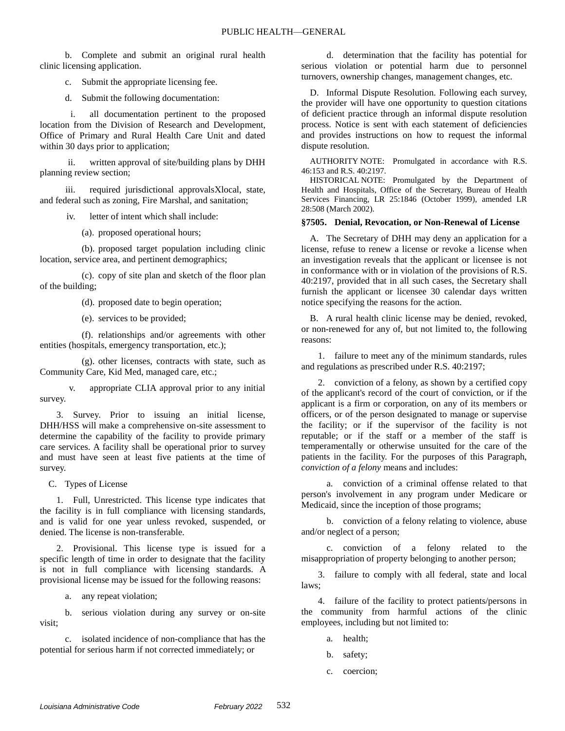b. Complete and submit an original rural health clinic licensing application.

c. Submit the appropriate licensing fee.

d. Submit the following documentation:

i. all documentation pertinent to the proposed location from the Division of Research and Development, Office of Primary and Rural Health Care Unit and dated within 30 days prior to application;

ii. written approval of site/building plans by DHH planning review section;

iii. required jurisdictional approvalsXlocal, state, and federal such as zoning, Fire Marshal, and sanitation;

iv. letter of intent which shall include:

(a). proposed operational hours;

(b). proposed target population including clinic location, service area, and pertinent demographics;

(c). copy of site plan and sketch of the floor plan of the building;

(d). proposed date to begin operation;

(e). services to be provided;

(f). relationships and/or agreements with other entities (hospitals, emergency transportation, etc.);

(g). other licenses, contracts with state, such as Community Care, Kid Med, managed care, etc.;

v. appropriate CLIA approval prior to any initial survey.

3. Survey. Prior to issuing an initial license, DHH/HSS will make a comprehensive on-site assessment to determine the capability of the facility to provide primary care services. A facility shall be operational prior to survey and must have seen at least five patients at the time of survey.

C. Types of License

1. Full, Unrestricted. This license type indicates that the facility is in full compliance with licensing standards, and is valid for one year unless revoked, suspended, or denied. The license is non-transferable.

2. Provisional. This license type is issued for a specific length of time in order to designate that the facility is not in full compliance with licensing standards. A provisional license may be issued for the following reasons:

a. any repeat violation;

b. serious violation during any survey or on-site visit;

c. isolated incidence of non-compliance that has the potential for serious harm if not corrected immediately; or

d. determination that the facility has potential for serious violation or potential harm due to personnel turnovers, ownership changes, management changes, etc.

D. Informal Dispute Resolution. Following each survey, the provider will have one opportunity to question citations of deficient practice through an informal dispute resolution process. Notice is sent with each statement of deficiencies and provides instructions on how to request the informal dispute resolution.

AUTHORITY NOTE: Promulgated in accordance with R.S. 46:153 and R.S. 40:2197.

HISTORICAL NOTE: Promulgated by the Department of Health and Hospitals, Office of the Secretary, Bureau of Health Services Financing, LR 25:1846 (October 1999), amended LR 28:508 (March 2002).

### **§7505. Denial, Revocation, or Non-Renewal of License**

A. The Secretary of DHH may deny an application for a license, refuse to renew a license or revoke a license when an investigation reveals that the applicant or licensee is not in conformance with or in violation of the provisions of R.S. 40:2197, provided that in all such cases, the Secretary shall furnish the applicant or licensee 30 calendar days written notice specifying the reasons for the action.

B. A rural health clinic license may be denied, revoked, or non-renewed for any of, but not limited to, the following reasons:

1. failure to meet any of the minimum standards, rules and regulations as prescribed under R.S. 40:2197;

2. conviction of a felony, as shown by a certified copy of the applicant's record of the court of conviction, or if the applicant is a firm or corporation, on any of its members or officers, or of the person designated to manage or supervise the facility; or if the supervisor of the facility is not reputable; or if the staff or a member of the staff is temperamentally or otherwise unsuited for the care of the patients in the facility. For the purposes of this Paragraph, *conviction of a felony* means and includes:

a. conviction of a criminal offense related to that person's involvement in any program under Medicare or Medicaid, since the inception of those programs;

b. conviction of a felony relating to violence, abuse and/or neglect of a person;

c. conviction of a felony related to the misappropriation of property belonging to another person;

3. failure to comply with all federal, state and local laws;

4. failure of the facility to protect patients/persons in the community from harmful actions of the clinic employees, including but not limited to:

- a. health;
- b. safety;
- c. coercion;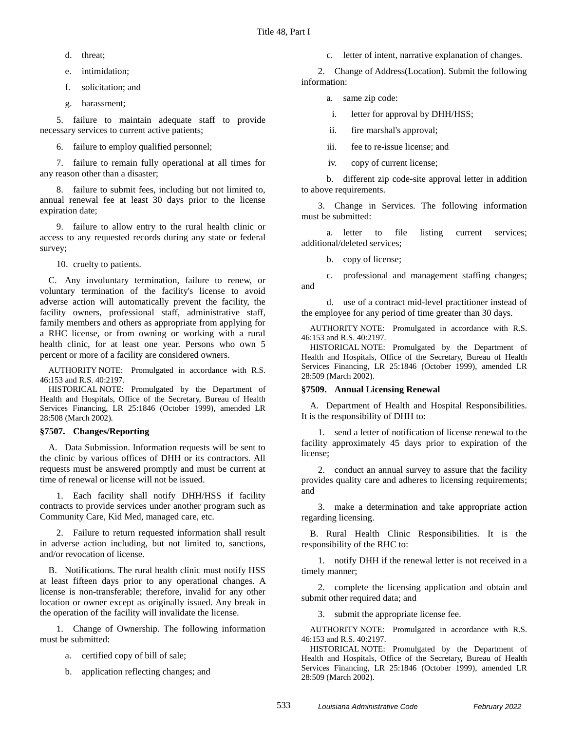d. threat;

e. intimidation;

f. solicitation; and

g. harassment;

5. failure to maintain adequate staff to provide necessary services to current active patients;

6. failure to employ qualified personnel;

7. failure to remain fully operational at all times for any reason other than a disaster;

8. failure to submit fees, including but not limited to, annual renewal fee at least 30 days prior to the license expiration date;

9. failure to allow entry to the rural health clinic or access to any requested records during any state or federal survey;

10. cruelty to patients.

C. Any involuntary termination, failure to renew, or voluntary termination of the facility's license to avoid adverse action will automatically prevent the facility, the facility owners, professional staff, administrative staff, family members and others as appropriate from applying for a RHC license, or from owning or working with a rural health clinic, for at least one year. Persons who own 5 percent or more of a facility are considered owners.

AUTHORITY NOTE: Promulgated in accordance with R.S. 46:153 and R.S. 40:2197.

HISTORICAL NOTE: Promulgated by the Department of Health and Hospitals, Office of the Secretary, Bureau of Health Services Financing, LR 25:1846 (October 1999), amended LR 28:508 (March 2002).

## **§7507. Changes/Reporting**

A. Data Submission. Information requests will be sent to the clinic by various offices of DHH or its contractors. All requests must be answered promptly and must be current at time of renewal or license will not be issued.

1. Each facility shall notify DHH/HSS if facility contracts to provide services under another program such as Community Care, Kid Med, managed care, etc.

2. Failure to return requested information shall result in adverse action including, but not limited to, sanctions, and/or revocation of license.

B. Notifications. The rural health clinic must notify HSS at least fifteen days prior to any operational changes. A license is non-transferable; therefore, invalid for any other location or owner except as originally issued. Any break in the operation of the facility will invalidate the license.

1. Change of Ownership. The following information must be submitted:

- a. certified copy of bill of sale;
- b. application reflecting changes; and

c. letter of intent, narrative explanation of changes.

2. Change of Address(Location). Submit the following information:

a. same zip code:

i. letter for approval by DHH/HSS;

ii. fire marshal's approval;

iii. fee to re-issue license; and

iv. copy of current license;

b. different zip code-site approval letter in addition to above requirements.

3. Change in Services. The following information must be submitted:

a. letter to file listing current services; additional/deleted services;

b. copy of license;

c. professional and management staffing changes; and

d. use of a contract mid-level practitioner instead of the employee for any period of time greater than 30 days.

AUTHORITY NOTE: Promulgated in accordance with R.S. 46:153 and R.S. 40:2197.

HISTORICAL NOTE: Promulgated by the Department of Health and Hospitals, Office of the Secretary, Bureau of Health Services Financing, LR 25:1846 (October 1999), amended LR 28:509 (March 2002).

## **§7509. Annual Licensing Renewal**

A. Department of Health and Hospital Responsibilities. It is the responsibility of DHH to:

1. send a letter of notification of license renewal to the facility approximately 45 days prior to expiration of the license;

2. conduct an annual survey to assure that the facility provides quality care and adheres to licensing requirements; and

3. make a determination and take appropriate action regarding licensing.

B. Rural Health Clinic Responsibilities. It is the responsibility of the RHC to:

1. notify DHH if the renewal letter is not received in a timely manner;

2. complete the licensing application and obtain and submit other required data; and

3. submit the appropriate license fee.

AUTHORITY NOTE: Promulgated in accordance with R.S. 46:153 and R.S. 40:2197.

HISTORICAL NOTE: Promulgated by the Department of Health and Hospitals, Office of the Secretary, Bureau of Health Services Financing, LR 25:1846 (October 1999), amended LR 28:509 (March 2002).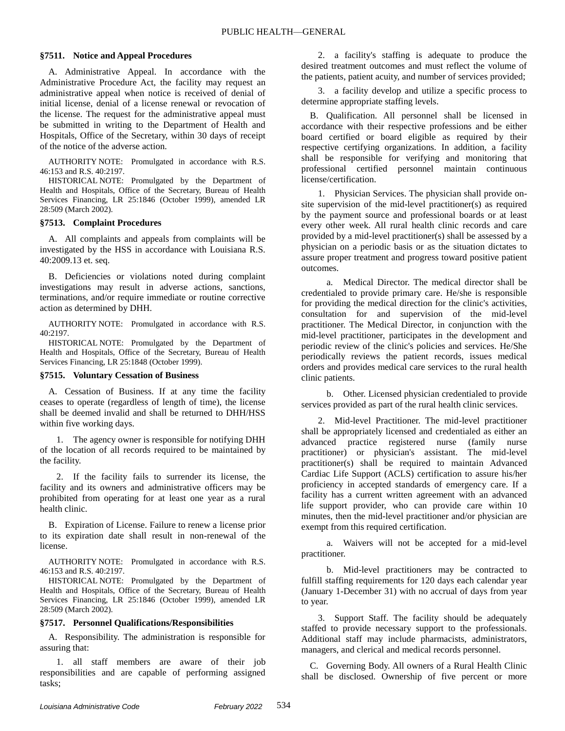#### **§7511. Notice and Appeal Procedures**

A. Administrative Appeal. In accordance with the Administrative Procedure Act, the facility may request an administrative appeal when notice is received of denial of initial license, denial of a license renewal or revocation of the license. The request for the administrative appeal must be submitted in writing to the Department of Health and Hospitals, Office of the Secretary, within 30 days of receipt of the notice of the adverse action.

AUTHORITY NOTE: Promulgated in accordance with R.S. 46:153 and R.S. 40:2197.

HISTORICAL NOTE: Promulgated by the Department of Health and Hospitals, Office of the Secretary, Bureau of Health Services Financing, LR 25:1846 (October 1999), amended LR 28:509 (March 2002).

#### **§7513. Complaint Procedures**

A. All complaints and appeals from complaints will be investigated by the HSS in accordance with Louisiana R.S. 40:2009.13 et. seq.

B. Deficiencies or violations noted during complaint investigations may result in adverse actions, sanctions, terminations, and/or require immediate or routine corrective action as determined by DHH.

AUTHORITY NOTE: Promulgated in accordance with R.S. 40:2197.

HISTORICAL NOTE: Promulgated by the Department of Health and Hospitals, Office of the Secretary, Bureau of Health Services Financing, LR 25:1848 (October 1999).

#### **§7515. Voluntary Cessation of Business**

A. Cessation of Business. If at any time the facility ceases to operate (regardless of length of time), the license shall be deemed invalid and shall be returned to DHH/HSS within five working days.

1. The agency owner is responsible for notifying DHH of the location of all records required to be maintained by the facility.

2. If the facility fails to surrender its license, the facility and its owners and administrative officers may be prohibited from operating for at least one year as a rural health clinic.

B. Expiration of License. Failure to renew a license prior to its expiration date shall result in non-renewal of the license.

AUTHORITY NOTE: Promulgated in accordance with R.S. 46:153 and R.S. 40:2197.

HISTORICAL NOTE: Promulgated by the Department of Health and Hospitals, Office of the Secretary, Bureau of Health Services Financing, LR 25:1846 (October 1999), amended LR 28:509 (March 2002).

#### **§7517. Personnel Qualifications/Responsibilities**

A. Responsibility. The administration is responsible for assuring that:

1. all staff members are aware of their job responsibilities and are capable of performing assigned tasks;

2. a facility's staffing is adequate to produce the desired treatment outcomes and must reflect the volume of the patients, patient acuity, and number of services provided;

3. a facility develop and utilize a specific process to determine appropriate staffing levels.

B. Qualification. All personnel shall be licensed in accordance with their respective professions and be either board certified or board eligible as required by their respective certifying organizations. In addition, a facility shall be responsible for verifying and monitoring that professional certified personnel maintain continuous license/certification.

1. Physician Services. The physician shall provide onsite supervision of the mid-level practitioner(s) as required by the payment source and professional boards or at least every other week. All rural health clinic records and care provided by a mid-level practitioner(s) shall be assessed by a physician on a periodic basis or as the situation dictates to assure proper treatment and progress toward positive patient outcomes.

a. Medical Director. The medical director shall be credentialed to provide primary care. He/she is responsible for providing the medical direction for the clinic's activities, consultation for and supervision of the mid-level practitioner. The Medical Director, in conjunction with the mid-level practitioner, participates in the development and periodic review of the clinic's policies and services. He/She periodically reviews the patient records, issues medical orders and provides medical care services to the rural health clinic patients.

b. Other. Licensed physician credentialed to provide services provided as part of the rural health clinic services.

2. Mid-level Practitioner. The mid-level practitioner shall be appropriately licensed and credentialed as either an advanced practice registered nurse (family nurse practitioner) or physician's assistant. The mid-level practitioner(s) shall be required to maintain Advanced Cardiac Life Support (ACLS) certification to assure his/her proficiency in accepted standards of emergency care. If a facility has a current written agreement with an advanced life support provider, who can provide care within 10 minutes, then the mid-level practitioner and/or physician are exempt from this required certification.

a. Waivers will not be accepted for a mid-level practitioner.

b. Mid-level practitioners may be contracted to fulfill staffing requirements for 120 days each calendar year (January 1-December 31) with no accrual of days from year to year.

3. Support Staff. The facility should be adequately staffed to provide necessary support to the professionals. Additional staff may include pharmacists, administrators, managers, and clerical and medical records personnel.

C. Governing Body. All owners of a Rural Health Clinic shall be disclosed. Ownership of five percent or more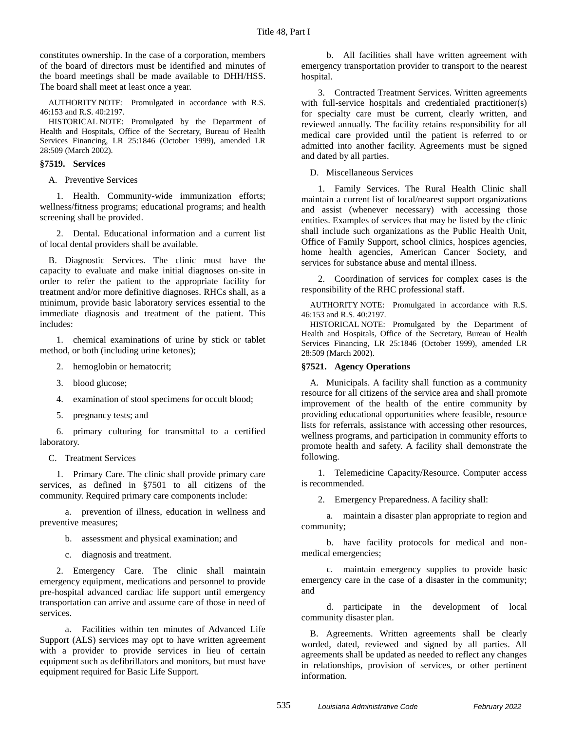constitutes ownership. In the case of a corporation, members of the board of directors must be identified and minutes of the board meetings shall be made available to DHH/HSS. The board shall meet at least once a year.

AUTHORITY NOTE: Promulgated in accordance with R.S. 46:153 and R.S. 40:2197.

HISTORICAL NOTE: Promulgated by the Department of Health and Hospitals, Office of the Secretary, Bureau of Health Services Financing, LR 25:1846 (October 1999), amended LR 28:509 (March 2002).

#### **§7519. Services**

A. Preventive Services

1. Health. Community-wide immunization efforts; wellness/fitness programs; educational programs; and health screening shall be provided.

2. Dental. Educational information and a current list of local dental providers shall be available.

B. Diagnostic Services. The clinic must have the capacity to evaluate and make initial diagnoses on-site in order to refer the patient to the appropriate facility for treatment and/or more definitive diagnoses. RHCs shall, as a minimum, provide basic laboratory services essential to the immediate diagnosis and treatment of the patient. This includes:

1. chemical examinations of urine by stick or tablet method, or both (including urine ketones);

- 2. hemoglobin or hematocrit;
- 3. blood glucose;
- 4. examination of stool specimens for occult blood;
- 5. pregnancy tests; and

6. primary culturing for transmittal to a certified laboratory.

C. Treatment Services

1. Primary Care. The clinic shall provide primary care services, as defined in §7501 to all citizens of the community. Required primary care components include:

a. prevention of illness, education in wellness and preventive measures;

- b. assessment and physical examination; and
- c. diagnosis and treatment.

2. Emergency Care. The clinic shall maintain emergency equipment, medications and personnel to provide pre-hospital advanced cardiac life support until emergency transportation can arrive and assume care of those in need of services.

a. Facilities within ten minutes of Advanced Life Support (ALS) services may opt to have written agreement with a provider to provide services in lieu of certain equipment such as defibrillators and monitors, but must have equipment required for Basic Life Support.

b. All facilities shall have written agreement with emergency transportation provider to transport to the nearest hospital.

3. Contracted Treatment Services. Written agreements with full-service hospitals and credentialed practitioner(s) for specialty care must be current, clearly written, and reviewed annually. The facility retains responsibility for all medical care provided until the patient is referred to or admitted into another facility. Agreements must be signed and dated by all parties.

D. Miscellaneous Services

1. Family Services. The Rural Health Clinic shall maintain a current list of local/nearest support organizations and assist (whenever necessary) with accessing those entities. Examples of services that may be listed by the clinic shall include such organizations as the Public Health Unit, Office of Family Support, school clinics, hospices agencies, home health agencies, American Cancer Society, and services for substance abuse and mental illness.

2. Coordination of services for complex cases is the responsibility of the RHC professional staff.

AUTHORITY NOTE: Promulgated in accordance with R.S. 46:153 and R.S. 40:2197.

HISTORICAL NOTE: Promulgated by the Department of Health and Hospitals, Office of the Secretary, Bureau of Health Services Financing, LR 25:1846 (October 1999), amended LR 28:509 (March 2002).

#### **§7521. Agency Operations**

A. Municipals. A facility shall function as a community resource for all citizens of the service area and shall promote improvement of the health of the entire community by providing educational opportunities where feasible, resource lists for referrals, assistance with accessing other resources, wellness programs, and participation in community efforts to promote health and safety. A facility shall demonstrate the following.

1. Telemedicine Capacity/Resource. Computer access is recommended.

2. Emergency Preparedness. A facility shall:

a. maintain a disaster plan appropriate to region and community;

b. have facility protocols for medical and nonmedical emergencies;

c. maintain emergency supplies to provide basic emergency care in the case of a disaster in the community; and

d. participate in the development of local community disaster plan.

B. Agreements. Written agreements shall be clearly worded, dated, reviewed and signed by all parties. All agreements shall be updated as needed to reflect any changes in relationships, provision of services, or other pertinent information.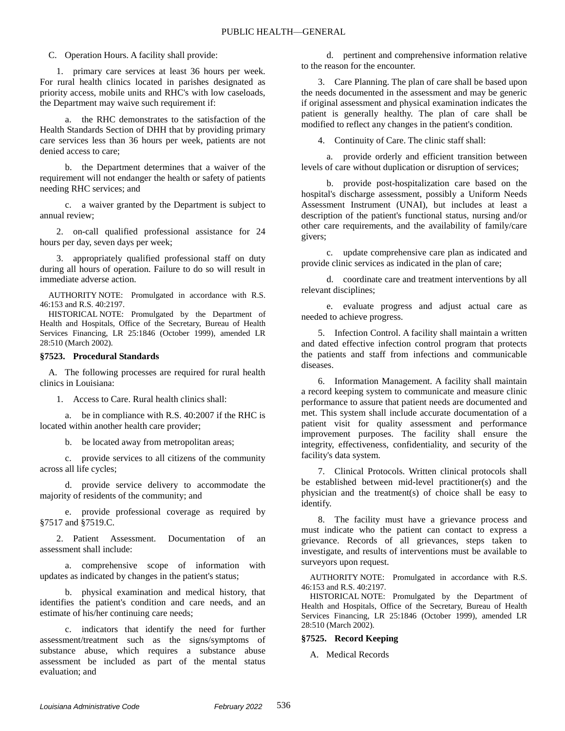C. Operation Hours. A facility shall provide:

1. primary care services at least 36 hours per week. For rural health clinics located in parishes designated as priority access, mobile units and RHC's with low caseloads, the Department may waive such requirement if:

a. the RHC demonstrates to the satisfaction of the Health Standards Section of DHH that by providing primary care services less than 36 hours per week, patients are not denied access to care;

b. the Department determines that a waiver of the requirement will not endanger the health or safety of patients needing RHC services; and

c. a waiver granted by the Department is subject to annual review;

2. on-call qualified professional assistance for 24 hours per day, seven days per week;

3. appropriately qualified professional staff on duty during all hours of operation. Failure to do so will result in immediate adverse action.

AUTHORITY NOTE: Promulgated in accordance with R.S. 46:153 and R.S. 40:2197.

HISTORICAL NOTE: Promulgated by the Department of Health and Hospitals, Office of the Secretary, Bureau of Health Services Financing, LR 25:1846 (October 1999), amended LR 28:510 (March 2002).

#### **§7523. Procedural Standards**

A. The following processes are required for rural health clinics in Louisiana:

1. Access to Care. Rural health clinics shall:

a. be in compliance with R.S. 40:2007 if the RHC is located within another health care provider;

b. be located away from metropolitan areas;

c. provide services to all citizens of the community across all life cycles;

d. provide service delivery to accommodate the majority of residents of the community; and

e. provide professional coverage as required by §7517 and §7519.C.

2. Patient Assessment. Documentation of an assessment shall include:

a. comprehensive scope of information with updates as indicated by changes in the patient's status;

b. physical examination and medical history, that identifies the patient's condition and care needs, and an estimate of his/her continuing care needs;

c. indicators that identify the need for further assessment/treatment such as the signs/symptoms of substance abuse, which requires a substance abuse assessment be included as part of the mental status evaluation; and

d. pertinent and comprehensive information relative to the reason for the encounter.

3. Care Planning. The plan of care shall be based upon the needs documented in the assessment and may be generic if original assessment and physical examination indicates the patient is generally healthy. The plan of care shall be modified to reflect any changes in the patient's condition.

4. Continuity of Care. The clinic staff shall:

a. provide orderly and efficient transition between levels of care without duplication or disruption of services;

b. provide post-hospitalization care based on the hospital's discharge assessment, possibly a Uniform Needs Assessment Instrument (UNAI), but includes at least a description of the patient's functional status, nursing and/or other care requirements, and the availability of family/care givers;

c. update comprehensive care plan as indicated and provide clinic services as indicated in the plan of care;

d. coordinate care and treatment interventions by all relevant disciplines;

e. evaluate progress and adjust actual care as needed to achieve progress.

5. Infection Control. A facility shall maintain a written and dated effective infection control program that protects the patients and staff from infections and communicable diseases.

6. Information Management. A facility shall maintain a record keeping system to communicate and measure clinic performance to assure that patient needs are documented and met. This system shall include accurate documentation of a patient visit for quality assessment and performance improvement purposes. The facility shall ensure the integrity, effectiveness, confidentiality, and security of the facility's data system.

7. Clinical Protocols. Written clinical protocols shall be established between mid-level practitioner(s) and the physician and the treatment(s) of choice shall be easy to identify.

8. The facility must have a grievance process and must indicate who the patient can contact to express a grievance. Records of all grievances, steps taken to investigate, and results of interventions must be available to surveyors upon request.

AUTHORITY NOTE: Promulgated in accordance with R.S. 46:153 and R.S. 40:2197.

HISTORICAL NOTE: Promulgated by the Department of Health and Hospitals, Office of the Secretary, Bureau of Health Services Financing, LR 25:1846 (October 1999), amended LR 28:510 (March 2002).

#### **§7525. Record Keeping**

A. Medical Records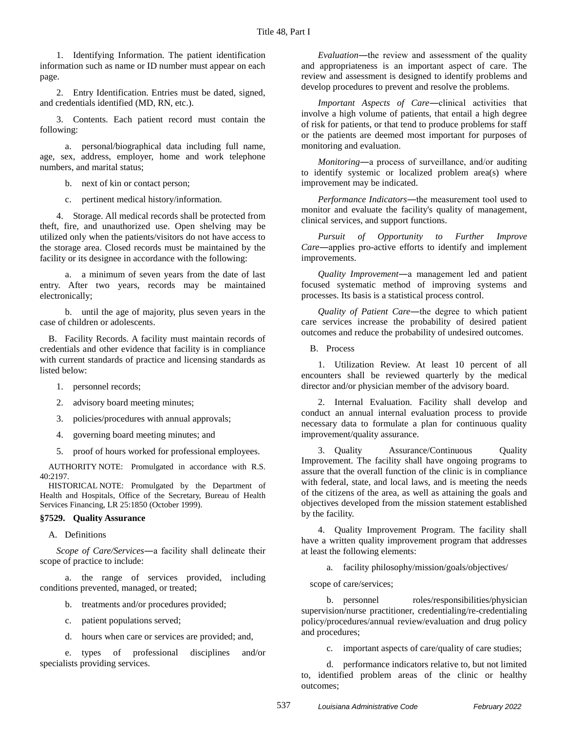1. Identifying Information. The patient identification information such as name or ID number must appear on each page.

2. Entry Identification. Entries must be dated, signed, and credentials identified (MD, RN, etc.).

3. Contents. Each patient record must contain the following:

a. personal/biographical data including full name, age, sex, address, employer, home and work telephone numbers, and marital status;

b. next of kin or contact person;

c. pertinent medical history/information.

4. Storage. All medical records shall be protected from theft, fire, and unauthorized use. Open shelving may be utilized only when the patients/visitors do not have access to the storage area. Closed records must be maintained by the facility or its designee in accordance with the following:

a. a minimum of seven years from the date of last entry. After two years, records may be maintained electronically;

b. until the age of majority, plus seven years in the case of children or adolescents.

B. Facility Records. A facility must maintain records of credentials and other evidence that facility is in compliance with current standards of practice and licensing standards as listed below:

- 1. personnel records;
- 2. advisory board meeting minutes;
- 3. policies/procedures with annual approvals;
- 4. governing board meeting minutes; and
- 5. proof of hours worked for professional employees.

AUTHORITY NOTE: Promulgated in accordance with R.S. 40:2197.

HISTORICAL NOTE: Promulgated by the Department of Health and Hospitals, Office of the Secretary, Bureau of Health Services Financing, LR 25:1850 (October 1999).

## **§7529. Quality Assurance**

A. Definitions

*Scope of Care/Services*―a facility shall delineate their scope of practice to include:

a. the range of services provided, including conditions prevented, managed, or treated;

- b. treatments and/or procedures provided;
	- c. patient populations served;
	- d. hours when care or services are provided; and,

e. types of professional disciplines and/or specialists providing services.

*Evaluation*―the review and assessment of the quality and appropriateness is an important aspect of care. The review and assessment is designed to identify problems and develop procedures to prevent and resolve the problems.

*Important Aspects of Care*―clinical activities that involve a high volume of patients, that entail a high degree of risk for patients, or that tend to produce problems for staff or the patients are deemed most important for purposes of monitoring and evaluation.

*Monitoring*―a process of surveillance, and/or auditing to identify systemic or localized problem area(s) where improvement may be indicated.

*Performance Indicators*―the measurement tool used to monitor and evaluate the facility's quality of management, clinical services, and support functions.

*Pursuit of Opportunity to Further Improve Care*―applies pro-active efforts to identify and implement improvements.

*Quality Improvement*―a management led and patient focused systematic method of improving systems and processes. Its basis is a statistical process control.

*Quality of Patient Care*―the degree to which patient care services increase the probability of desired patient outcomes and reduce the probability of undesired outcomes.

B. Process

1. Utilization Review. At least 10 percent of all encounters shall be reviewed quarterly by the medical director and/or physician member of the advisory board.

2. Internal Evaluation. Facility shall develop and conduct an annual internal evaluation process to provide necessary data to formulate a plan for continuous quality improvement/quality assurance.

3. Quality Assurance/Continuous Quality Improvement. The facility shall have ongoing programs to assure that the overall function of the clinic is in compliance with federal, state, and local laws, and is meeting the needs of the citizens of the area, as well as attaining the goals and objectives developed from the mission statement established by the facility.

4. Quality Improvement Program. The facility shall have a written quality improvement program that addresses at least the following elements:

a. facility philosophy/mission/goals/objectives/

scope of care/services;

b. personnel roles/responsibilities/physician supervision/nurse practitioner, credentialing/re-credentialing policy/procedures/annual review/evaluation and drug policy and procedures;

c. important aspects of care/quality of care studies;

d. performance indicators relative to, but not limited to, identified problem areas of the clinic or healthy outcomes;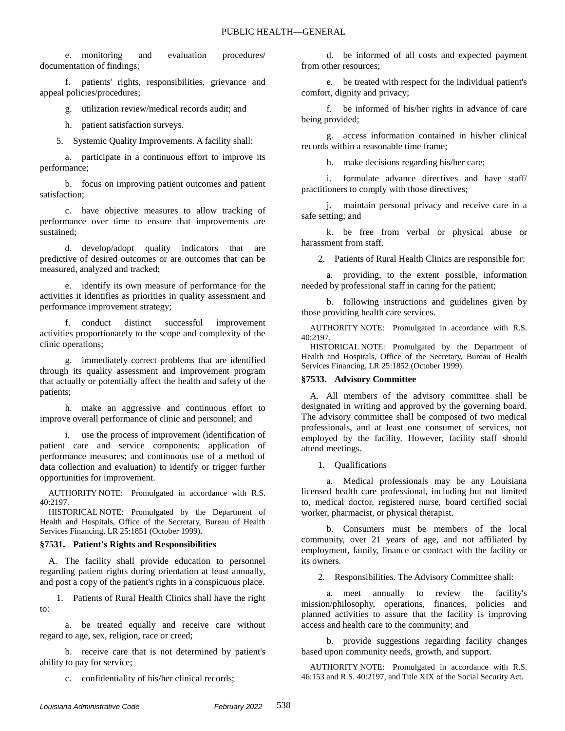e. monitoring and evaluation procedures/ documentation of findings;

f. patients' rights, responsibilities, grievance and appeal policies/procedures;

g. utilization review/medical records audit; and

h. patient satisfaction surveys.

5. Systemic Quality Improvements. A facility shall:

a. participate in a continuous effort to improve its performance;

b. focus on improving patient outcomes and patient satisfaction;

c. have objective measures to allow tracking of performance over time to ensure that improvements are sustained;

d. develop/adopt quality indicators that are predictive of desired outcomes or are outcomes that can be measured, analyzed and tracked;

e. identify its own measure of performance for the activities it identifies as priorities in quality assessment and performance improvement strategy;

f. conduct distinct successful improvement activities proportionately to the scope and complexity of the clinic operations;

g. immediately correct problems that are identified through its quality assessment and improvement program that actually or potentially affect the health and safety of the patients;

h. make an aggressive and continuous effort to improve overall performance of clinic and personnel; and

i. use the process of improvement (identification of patient care and service components; application of performance measures; and continuous use of a method of data collection and evaluation) to identify or trigger further opportunities for improvement.

AUTHORITY NOTE: Promulgated in accordance with R.S. 40:2197.

HISTORICAL NOTE: Promulgated by the Department of Health and Hospitals, Office of the Secretary, Bureau of Health Services Financing, LR 25:1851 (October 1999).

#### **§7531. Patient's Rights and Responsibilities**

A. The facility shall provide education to personnel regarding patient rights during orientation at least annually, and post a copy of the patient's rights in a conspicuous place.

1. Patients of Rural Health Clinics shall have the right to:

a. be treated equally and receive care without regard to age, sex, religion, race or creed;

b. receive care that is not determined by patient's ability to pay for service;

c. confidentiality of his/her clinical records;

d. be informed of all costs and expected payment from other resources;

e. be treated with respect for the individual patient's comfort, dignity and privacy;

f. be informed of his/her rights in advance of care being provided;

g. access information contained in his/her clinical records within a reasonable time frame;

h. make decisions regarding his/her care;

i. formulate advance directives and have staff/ practitioners to comply with those directives;

j. maintain personal privacy and receive care in a safe setting; and

k. be free from verbal or physical abuse or harassment from staff.

2. Patients of Rural Health Clinics are responsible for:

a. providing, to the extent possible, information needed by professional staff in caring for the patient;

b. following instructions and guidelines given by those providing health care services.

AUTHORITY NOTE: Promulgated in accordance with R.S. 40:2197.

HISTORICAL NOTE: Promulgated by the Department of Health and Hospitals, Office of the Secretary, Bureau of Health Services Financing, LR 25:1852 (October 1999).

## **§7533. Advisory Committee**

A. All members of the advisory committee shall be designated in writing and approved by the governing board. The advisory committee shall be composed of two medical professionals, and at least one consumer of services, not employed by the facility. However, facility staff should attend meetings.

1. Qualifications

a. Medical professionals may be any Louisiana licensed health care professional, including but not limited to, medical doctor, registered nurse, board certified social worker, pharmacist, or physical therapist.

b. Consumers must be members of the local community, over 21 years of age, and not affiliated by employment, family, finance or contract with the facility or its owners.

2. Responsibilities. The Advisory Committee shall:

a. meet annually to review the facility's mission/philosophy, operations, finances, policies and planned activities to assure that the facility is improving access and health care to the community; and

b. provide suggestions regarding facility changes based upon community needs, growth, and support.

AUTHORITY NOTE: Promulgated in accordance with R.S. 46:153 and R.S. 40:2197, and Title XIX of the Social Security Act.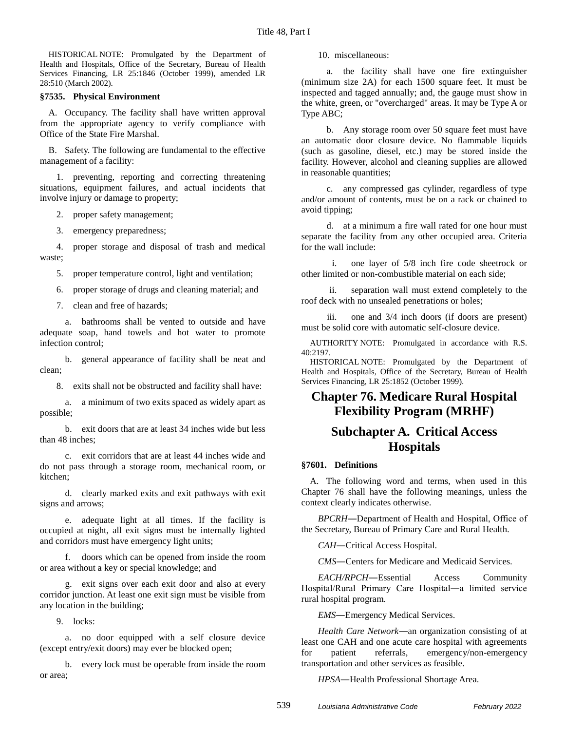HISTORICAL NOTE: Promulgated by the Department of Health and Hospitals, Office of the Secretary, Bureau of Health Services Financing, LR 25:1846 (October 1999), amended LR 28:510 (March 2002).

#### **§7535. Physical Environment**

A. Occupancy. The facility shall have written approval from the appropriate agency to verify compliance with Office of the State Fire Marshal.

B. Safety. The following are fundamental to the effective management of a facility:

1. preventing, reporting and correcting threatening situations, equipment failures, and actual incidents that involve injury or damage to property;

2. proper safety management;

3. emergency preparedness;

4. proper storage and disposal of trash and medical waste;

5. proper temperature control, light and ventilation;

6. proper storage of drugs and cleaning material; and

7. clean and free of hazards;

a. bathrooms shall be vented to outside and have adequate soap, hand towels and hot water to promote infection control;

b. general appearance of facility shall be neat and clean;

8. exits shall not be obstructed and facility shall have:

a. a minimum of two exits spaced as widely apart as possible;

b. exit doors that are at least 34 inches wide but less than 48 inches;

c. exit corridors that are at least 44 inches wide and do not pass through a storage room, mechanical room, or kitchen;

d. clearly marked exits and exit pathways with exit signs and arrows;

e. adequate light at all times. If the facility is occupied at night, all exit signs must be internally lighted and corridors must have emergency light units;

f. doors which can be opened from inside the room or area without a key or special knowledge; and

g. exit signs over each exit door and also at every corridor junction. At least one exit sign must be visible from any location in the building;

9. locks:

a. no door equipped with a self closure device (except entry/exit doors) may ever be blocked open;

b. every lock must be operable from inside the room or area;

10. miscellaneous:

a. the facility shall have one fire extinguisher (minimum size 2A) for each 1500 square feet. It must be inspected and tagged annually; and, the gauge must show in the white, green, or "overcharged" areas. It may be Type A or Type ABC;

b. Any storage room over 50 square feet must have an automatic door closure device. No flammable liquids (such as gasoline, diesel, etc.) may be stored inside the facility. However, alcohol and cleaning supplies are allowed in reasonable quantities;

c. any compressed gas cylinder, regardless of type and/or amount of contents, must be on a rack or chained to avoid tipping;

d. at a minimum a fire wall rated for one hour must separate the facility from any other occupied area. Criteria for the wall include:

i. one layer of 5/8 inch fire code sheetrock or other limited or non-combustible material on each side;

ii. separation wall must extend completely to the roof deck with no unsealed penetrations or holes;

iii. one and 3/4 inch doors (if doors are present) must be solid core with automatic self-closure device.

AUTHORITY NOTE: Promulgated in accordance with R.S. 40:2197.

HISTORICAL NOTE: Promulgated by the Department of Health and Hospitals, Office of the Secretary, Bureau of Health Services Financing, LR 25:1852 (October 1999).

# **Chapter 76. Medicare Rural Hospital Flexibility Program (MRHF)**

## **Subchapter A. Critical Access Hospitals**

## **§7601. Definitions**

A. The following word and terms, when used in this Chapter 76 shall have the following meanings, unless the context clearly indicates otherwise.

*BPCRH*―Department of Health and Hospital, Office of the Secretary, Bureau of Primary Care and Rural Health.

*CAH*―Critical Access Hospital.

*CMS*―Centers for Medicare and Medicaid Services*.*

*EACH/RPCH*―Essential Access Community Hospital/Rural Primary Care Hospital―a limited service rural hospital program.

*EMS*―Emergency Medical Services.

*Health Care Network*―an organization consisting of at least one CAH and one acute care hospital with agreements for patient referrals, emergency/non-emergency transportation and other services as feasible.

*HPSA*―Health Professional Shortage Area.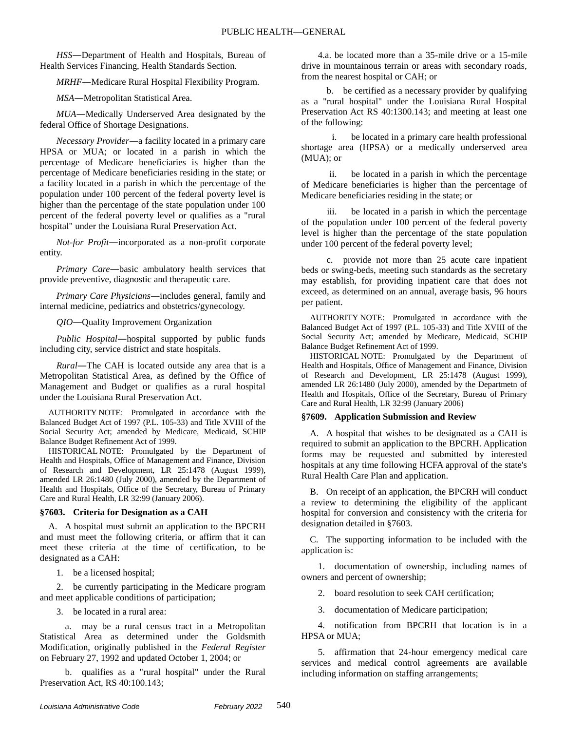*HSS*―Department of Health and Hospitals, Bureau of Health Services Financing, Health Standards Section.

*MRHF*―Medicare Rural Hospital Flexibility Program.

*MSA*―Metropolitan Statistical Area.

*MUA*―Medically Underserved Area designated by the federal Office of Shortage Designations.

*Necessary Provider*―a facility located in a primary care HPSA or MUA; or located in a parish in which the percentage of Medicare beneficiaries is higher than the percentage of Medicare beneficiaries residing in the state; or a facility located in a parish in which the percentage of the population under 100 percent of the federal poverty level is higher than the percentage of the state population under 100 percent of the federal poverty level or qualifies as a "rural hospital" under the Louisiana Rural Preservation Act.

*Not-for Profit*―incorporated as a non-profit corporate entity.

*Primary Care*―basic ambulatory health services that provide preventive, diagnostic and therapeutic care.

*Primary Care Physicians*―includes general, family and internal medicine, pediatrics and obstetrics/gynecology.

*QIO*―Quality Improvement Organization

*Public Hospital*―hospital supported by public funds including city, service district and state hospitals.

*Rural*―The CAH is located outside any area that is a Metropolitan Statistical Area, as defined by the Office of Management and Budget or qualifies as a rural hospital under the Louisiana Rural Preservation Act.

AUTHORITY NOTE: Promulgated in accordance with the Balanced Budget Act of 1997 (P.L. 105-33) and Title XVIII of the Social Security Act; amended by Medicare, Medicaid, SCHIP Balance Budget Refinement Act of 1999.

HISTORICAL NOTE: Promulgated by the Department of Health and Hospitals, Office of Management and Finance, Division of Research and Development, LR 25:1478 (August 1999), amended LR 26:1480 (July 2000), amended by the Department of Health and Hospitals, Office of the Secretary, Bureau of Primary Care and Rural Health, LR 32:99 (January 2006).

## **§7603. Criteria for Designation as a CAH**

A. A hospital must submit an application to the BPCRH and must meet the following criteria, or affirm that it can meet these criteria at the time of certification, to be designated as a CAH:

1. be a licensed hospital;

2. be currently participating in the Medicare program and meet applicable conditions of participation;

3. be located in a rural area:

a. may be a rural census tract in a Metropolitan Statistical Area as determined under the Goldsmith Modification, originally published in the *Federal Register* on February 27, 1992 and updated October 1, 2004; or

b. qualifies as a "rural hospital" under the Rural Preservation Act, RS 40:100.143;

4.a. be located more than a 35-mile drive or a 15-mile drive in mountainous terrain or areas with secondary roads, from the nearest hospital or CAH; or

b. be certified as a necessary provider by qualifying as a "rural hospital" under the Louisiana Rural Hospital Preservation Act RS 40:1300.143; and meeting at least one of the following:

i. be located in a primary care health professional shortage area (HPSA) or a medically underserved area (MUA); or

ii. be located in a parish in which the percentage of Medicare beneficiaries is higher than the percentage of Medicare beneficiaries residing in the state; or

be located in a parish in which the percentage of the population under 100 percent of the federal poverty level is higher than the percentage of the state population under 100 percent of the federal poverty level;

c. provide not more than 25 acute care inpatient beds or swing-beds, meeting such standards as the secretary may establish, for providing inpatient care that does not exceed, as determined on an annual, average basis, 96 hours per patient.

AUTHORITY NOTE: Promulgated in accordance with the Balanced Budget Act of 1997 (P.L. 105-33) and Title XVIII of the Social Security Act; amended by Medicare, Medicaid, SCHIP Balance Budget Refinement Act of 1999.

HISTORICAL NOTE: Promulgated by the Department of Health and Hospitals, Office of Management and Finance, Division of Research and Development, LR 25:1478 (August 1999), amended LR 26:1480 (July 2000), amended by the Departmetn of Health and Hospitals, Office of the Secretary, Bureau of Primary Care and Rural Health, LR 32:99 (January 2006)

## **§7609. Application Submission and Review**

A. A hospital that wishes to be designated as a CAH is required to submit an application to the BPCRH. Application forms may be requested and submitted by interested hospitals at any time following HCFA approval of the state's Rural Health Care Plan and application.

B. On receipt of an application, the BPCRH will conduct a review to determining the eligibility of the applicant hospital for conversion and consistency with the criteria for designation detailed in §7603.

C. The supporting information to be included with the application is:

1. documentation of ownership, including names of owners and percent of ownership;

2. board resolution to seek CAH certification;

3. documentation of Medicare participation;

4. notification from BPCRH that location is in a HPSA or MUA;

5. affirmation that 24-hour emergency medical care services and medical control agreements are available including information on staffing arrangements;